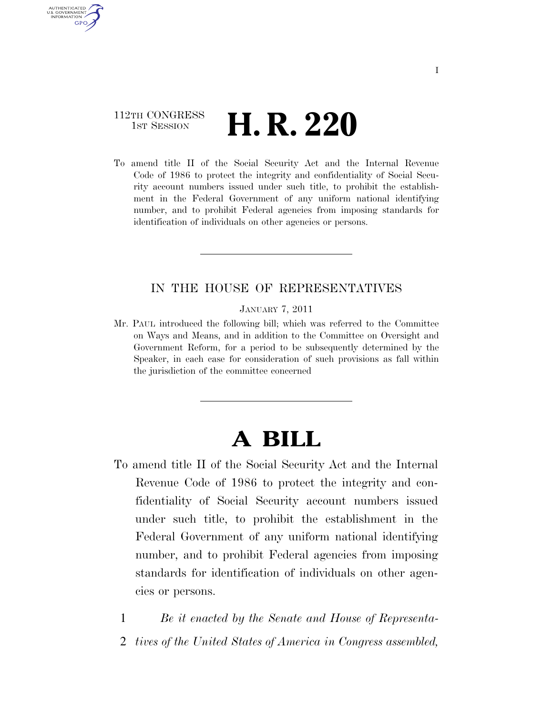### 112TH CONGRESS **HE CONGRESS H. R. 220**

AUTHENTICATED U.S. GOVERNMENT **GPO** 

> To amend title II of the Social Security Act and the Internal Revenue Code of 1986 to protect the integrity and confidentiality of Social Security account numbers issued under such title, to prohibit the establishment in the Federal Government of any uniform national identifying number, and to prohibit Federal agencies from imposing standards for identification of individuals on other agencies or persons.

### IN THE HOUSE OF REPRESENTATIVES

JANUARY 7, 2011

Mr. PAUL introduced the following bill; which was referred to the Committee on Ways and Means, and in addition to the Committee on Oversight and Government Reform, for a period to be subsequently determined by the Speaker, in each case for consideration of such provisions as fall within the jurisdiction of the committee concerned

# **A BILL**

To amend title II of the Social Security Act and the Internal Revenue Code of 1986 to protect the integrity and confidentiality of Social Security account numbers issued under such title, to prohibit the establishment in the Federal Government of any uniform national identifying number, and to prohibit Federal agencies from imposing standards for identification of individuals on other agencies or persons.

1 *Be it enacted by the Senate and House of Representa-*

2 *tives of the United States of America in Congress assembled,*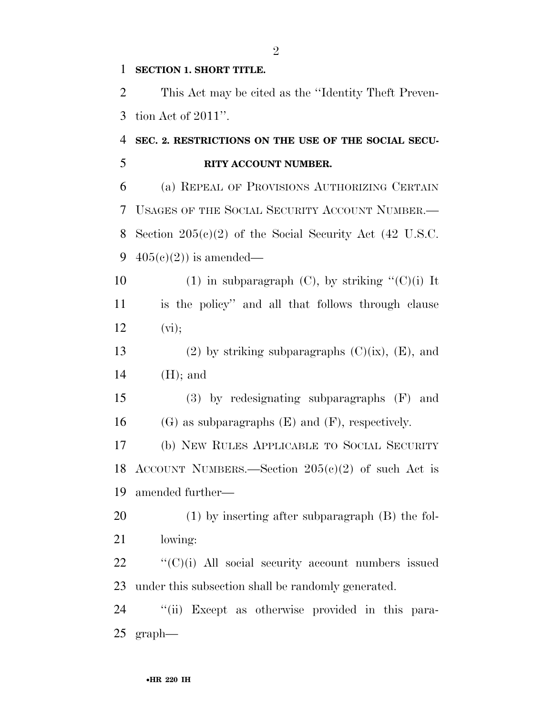#### **SECTION 1. SHORT TITLE.**

 This Act may be cited as the ''Identity Theft Preven-tion Act of 2011''.

## **SEC. 2. RESTRICTIONS ON THE USE OF THE SOCIAL SECU-RITY ACCOUNT NUMBER.**

 (a) REPEAL OF PROVISIONS AUTHORIZING CERTAIN USAGES OF THE SOCIAL SECURITY ACCOUNT NUMBER.— Section 205(c)(2) of the Social Security Act (42 U.S.C.  $405(c)(2)$  is amended—

- 10 (1) in subparagraph (C), by striking  $C'(C)(i)$  It is the policy'' and all that follows through clause 12  $(vi);$
- 13 (2) by striking subparagraphs  $(C)(ix)$ ,  $(E)$ , and (H); and
- (3) by redesignating subparagraphs (F) and 16 (G) as subparagraphs  $(E)$  and  $(F)$ , respectively.

 (b) NEW RULES APPLICABLE TO SOCIAL SECURITY ACCOUNT NUMBERS.—Section 205(c)(2) of such Act is amended further—

 (1) by inserting after subparagraph (B) the fol-lowing:

  $"({\rm C})(i)$  All social security account numbers issued under this subsection shall be randomly generated.

 ''(ii) Except as otherwise provided in this para-graph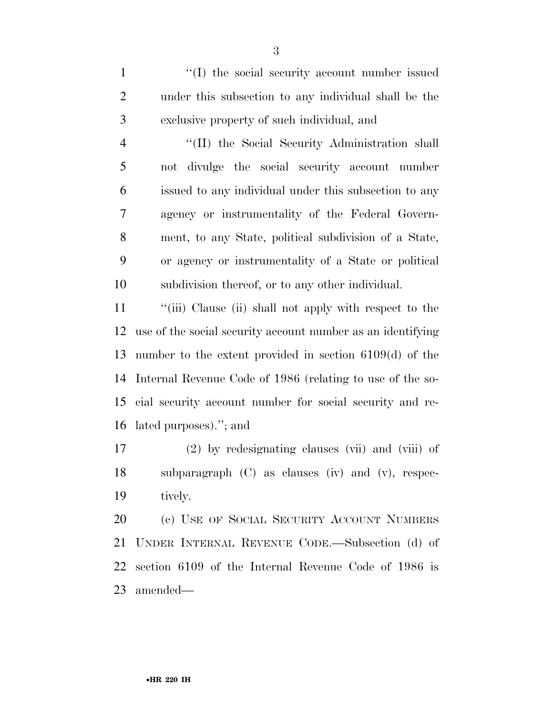1  $\langle (I) \rangle$  the social security account number issued under this subsection to any individual shall be the exclusive property of such individual, and

4 "(II) the Social Security Administration shall not divulge the social security account number issued to any individual under this subsection to any agency or instrumentality of the Federal Govern- ment, to any State, political subdivision of a State, or agency or instrumentality of a State or political subdivision thereof, or to any other individual.

 ''(iii) Clause (ii) shall not apply with respect to the use of the social security account number as an identifying number to the extent provided in section 6109(d) of the Internal Revenue Code of 1986 (relating to use of the so- cial security account number for social security and re-lated purposes).''; and

 (2) by redesignating clauses (vii) and (viii) of subparagraph (C) as clauses (iv) and (v), respec-tively.

20 (c) USE OF SOCIAL SECURITY ACCOUNT NUMBERS UNDER INTERNAL REVENUE CODE.—Subsection (d) of section 6109 of the Internal Revenue Code of 1986 is amended—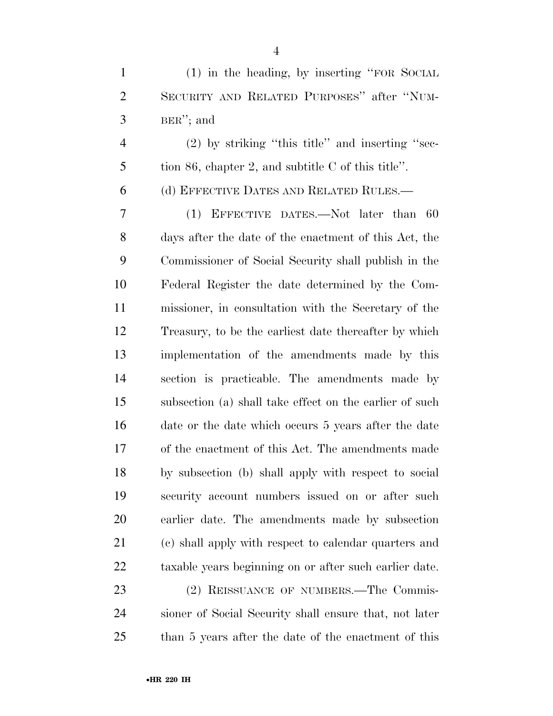(1) in the heading, by inserting ''FOR SOCIAL SECURITY AND RELATED PURPOSES'' after ''NUM-BER''; and

 (2) by striking ''this title'' and inserting ''sec-tion 86, chapter 2, and subtitle C of this title''.

(d) EFFECTIVE DATES AND RELATED RULES.—

 (1) EFFECTIVE DATES.—Not later than 60 days after the date of the enactment of this Act, the Commissioner of Social Security shall publish in the Federal Register the date determined by the Com- missioner, in consultation with the Secretary of the Treasury, to be the earliest date thereafter by which implementation of the amendments made by this section is practicable. The amendments made by subsection (a) shall take effect on the earlier of such date or the date which occurs 5 years after the date of the enactment of this Act. The amendments made by subsection (b) shall apply with respect to social security account numbers issued on or after such earlier date. The amendments made by subsection (c) shall apply with respect to calendar quarters and taxable years beginning on or after such earlier date.

23 (2) REISSUANCE OF NUMBERS.—The Commis- sioner of Social Security shall ensure that, not later than 5 years after the date of the enactment of this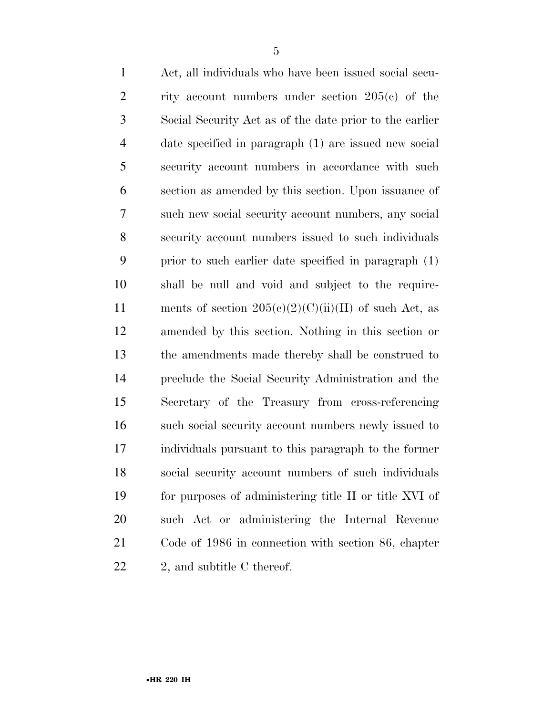Act, all individuals who have been issued social secu- rity account numbers under section 205(c) of the Social Security Act as of the date prior to the earlier date specified in paragraph (1) are issued new social security account numbers in accordance with such section as amended by this section. Upon issuance of such new social security account numbers, any social security account numbers issued to such individuals prior to such earlier date specified in paragraph (1) shall be null and void and subject to the require-11 ments of section  $205(e)(2)(C)(ii)(II)$  of such Act, as amended by this section. Nothing in this section or the amendments made thereby shall be construed to preclude the Social Security Administration and the Secretary of the Treasury from cross-referencing such social security account numbers newly issued to individuals pursuant to this paragraph to the former social security account numbers of such individuals for purposes of administering title II or title XVI of such Act or administering the Internal Revenue Code of 1986 in connection with section 86, chapter 22 2, and subtitle C thereof.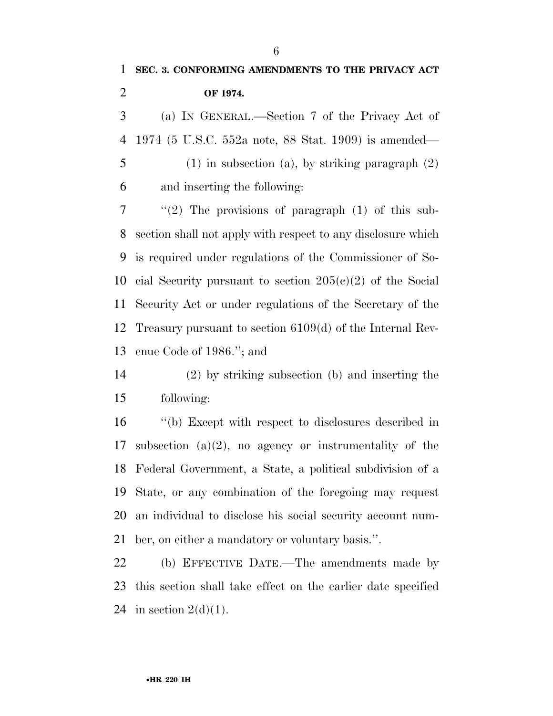(a) IN GENERAL.—Section 7 of the Privacy Act of 1974 (5 U.S.C. 552a note, 88 Stat. 1909) is amended— (1) in subsection (a), by striking paragraph (2)

and inserting the following:

 ''(2) The provisions of paragraph (1) of this sub- section shall not apply with respect to any disclosure which is required under regulations of the Commissioner of So- cial Security pursuant to section 205(c)(2) of the Social Security Act or under regulations of the Secretary of the Treasury pursuant to section 6109(d) of the Internal Rev-enue Code of 1986.''; and

 (2) by striking subsection (b) and inserting the following:

 ''(b) Except with respect to disclosures described in subsection (a)(2), no agency or instrumentality of the Federal Government, a State, a political subdivision of a State, or any combination of the foregoing may request an individual to disclose his social security account num-ber, on either a mandatory or voluntary basis.''.

 (b) EFFECTIVE DATE.—The amendments made by this section shall take effect on the earlier date specified 24 in section  $2(d)(1)$ .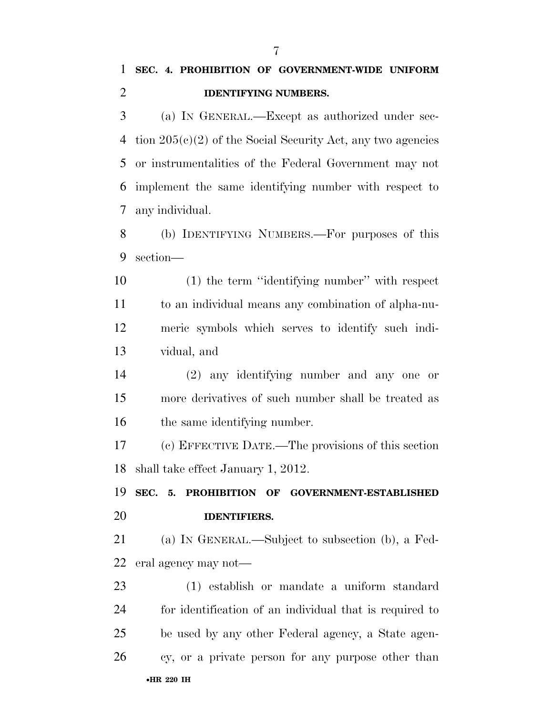(a) IN GENERAL.—Except as authorized under sec- tion 205(c)(2) of the Social Security Act, any two agencies or instrumentalities of the Federal Government may not implement the same identifying number with respect to any individual.

 (b) IDENTIFYING NUMBERS.—For purposes of this section—

 (1) the term ''identifying number'' with respect to an individual means any combination of alpha-nu- meric symbols which serves to identify such indi-vidual, and

 (2) any identifying number and any one or more derivatives of such number shall be treated as the same identifying number.

 (c) EFFECTIVE DATE.—The provisions of this section shall take effect January 1, 2012.

 **SEC. 5. PROHIBITION OF GOVERNMENT-ESTABLISHED IDENTIFIERS.** 

 (a) IN GENERAL.—Subject to subsection (b), a Fed-eral agency may not—

•**HR 220 IH** (1) establish or mandate a uniform standard for identification of an individual that is required to be used by any other Federal agency, a State agen-cy, or a private person for any purpose other than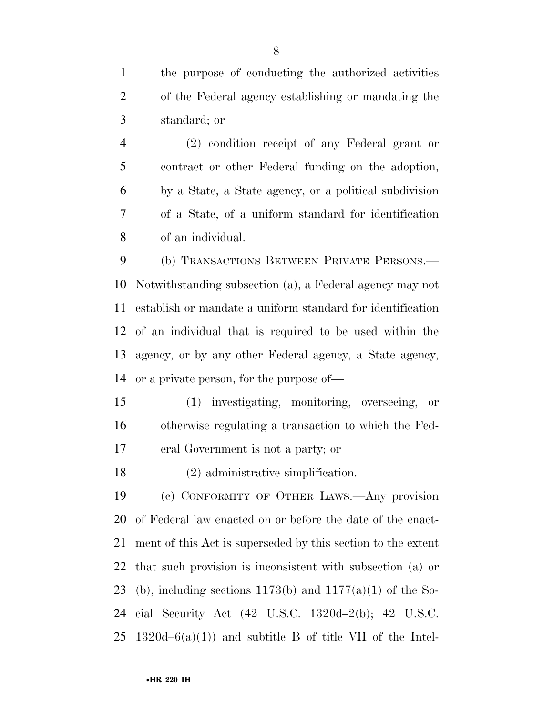the purpose of conducting the authorized activities of the Federal agency establishing or mandating the standard; or

 (2) condition receipt of any Federal grant or contract or other Federal funding on the adoption, by a State, a State agency, or a political subdivision of a State, of a uniform standard for identification of an individual.

 (b) TRANSACTIONS BETWEEN PRIVATE PERSONS.— Notwithstanding subsection (a), a Federal agency may not establish or mandate a uniform standard for identification of an individual that is required to be used within the agency, or by any other Federal agency, a State agency, or a private person, for the purpose of—

 (1) investigating, monitoring, overseeing, or otherwise regulating a transaction to which the Fed-eral Government is not a party; or

(2) administrative simplification.

 (c) CONFORMITY OF OTHER LAWS.—Any provision of Federal law enacted on or before the date of the enact- ment of this Act is superseded by this section to the extent that such provision is inconsistent with subsection (a) or 23 (b), including sections 1173(b) and  $1177(a)(1)$  of the So- cial Security Act (42 U.S.C. 1320d–2(b); 42 U.S.C. 25 1320d–6(a)(1)) and subtitle B of title VII of the Intel-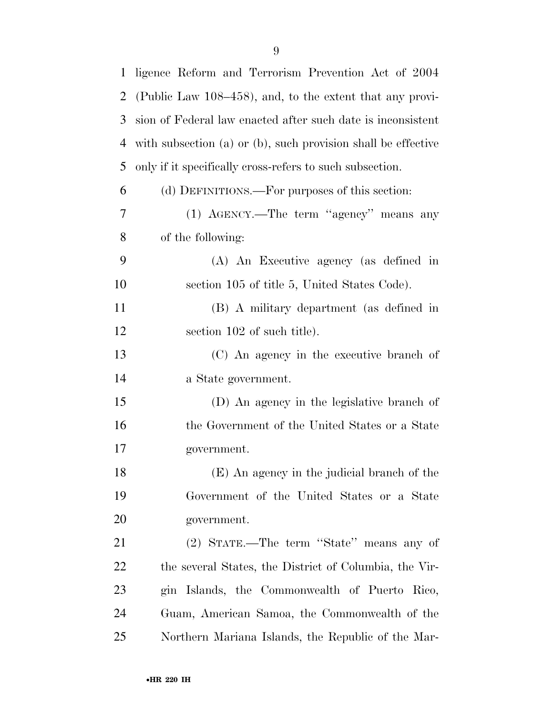| $\mathbf{1}$   | ligence Reform and Terrorism Prevention Act of 2004           |
|----------------|---------------------------------------------------------------|
| $\overline{2}$ | (Public Law 108–458), and, to the extent that any provi-      |
| 3              | sion of Federal law enacted after such date is inconsistent   |
| 4              | with subsection (a) or (b), such provision shall be effective |
| 5              | only if it specifically cross-refers to such subsection.      |
| 6              | (d) DEFINITIONS.—For purposes of this section:                |
| 7              | $(1)$ AGENCY.—The term "agency" means any                     |
| 8              | of the following:                                             |
| 9              | (A) An Executive agency (as defined in                        |
| 10             | section 105 of title 5, United States Code).                  |
| 11             | (B) A military department (as defined in                      |
| 12             | section 102 of such title).                                   |
| 13             | (C) An agency in the executive branch of                      |
| 14             | a State government.                                           |
| 15             | (D) An agency in the legislative branch of                    |
| 16             | the Government of the United States or a State                |
| 17             | government.                                                   |
| 18             | (E) An agency in the judicial branch of the                   |
| 19             | Government of the United States or a State                    |
| 20             | government.                                                   |
| 21             | (2) STATE.—The term "State" means any of                      |
| 22             | the several States, the District of Columbia, the Vir-        |
| 23             | gin Islands, the Commonwealth of Puerto Rico,                 |
| 24             | Guam, American Samoa, the Commonwealth of the                 |
| 25             | Northern Mariana Islands, the Republic of the Mar-            |